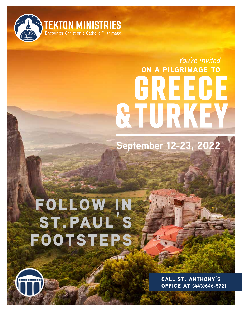

# **Greece & Turkey on a pilgrimage to** *You're invited*

**September 12-23, 2022**

## **follow in st.paul's footsteps**

**call st. anthony's office at (443)646-5721**

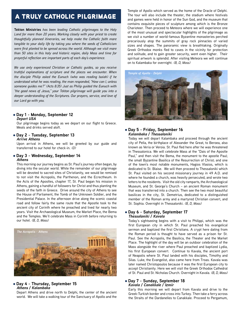## a truly catholic pilgrimage

**Tekton Ministries** *has been leading Catholic pilgrimages to the Holy Land for more than 20 years. Working closely with your priest to create thoughtfully planned itineraries, we help make the Catholic faith more tangible to your daily life by taking you where the seeds of Catholicism were first planted to be spread across the world. Although we visit more than 50 sites in this holy and historic region, daily Mass and time for prayerful reflection are important parts of each day's experience.*

*We use only experienced Christian or Catholic guides, so you receive truthful explanations of scripture and the places we encounter. When the disciple Philip asked the Eunuch (who was reading Isaiah) if he understood what he was reading, the man responded, "How can I, unless someone guides me?" (Acts 8:35) Just as Philip guided the Eunuch with "the good news of Jesus," your Tekton pilgrimage will guide you into a deeper understanding of the Scriptures. Our prayers, service, and love of our Lord go with you.*

#### l **Day 1 - Monday, September 12** *Depart USA*

Our pilgrimage begins today as we depart on our flight to Greece. Meals and drinks served aloft.

l **Day 2 - Tuesday, September 13** *Arrive Athens*

Upon arrival in Athens, we will be greeted by our guide and transferred to our hotel for check-in. *(D)*

#### l **Day 3 - Wednesday, September 14** *Athens*

This morning our journey begins as St. Paul's journey often began, by diving into the secular world. While the remainder of our pilgrimage will be devoted to sacred sites of Christianity, we would be remised to not visit the Acropolis, the Parthenon, and the Ecrectheum. In the Acts of the Apostles, chapter 17, St. Paul began his mission in Athens, gaining a handful of followers for Christ and thus planting the seeds of the faith in Greece. Drive around the city of Athens to see the House of Parliament, the Tomb of the Unknown Soldier, and the Presidential Palace. In the afternoon drive along the scenic coastal road and follow fairly the same route that the Apostle took to the ancient city of Corinth where he preached and lived for nearly two years. Visit the Archaeological Museum, the Market Place, the Bema and the Temples. We'll celebrate Mass in Corinth before returning to our hotel. *(B, D, Mass)*



#### l **Day 4 - Thursday, September 15** *Athens / Kalambaka*

Depart Athens and drive north to Delphi, the center of the ancient world. We will take a walking tour of the Sanctuary of Apollo and the

Temple of Apollo which served as the home of the Oracle of Delphi. The tour will also include the theater, the stadium where festivals and games were held in honor of the Sun God, and the museum that contains exquisite pieces of sculpture among which is the Bronze Charioteer. Then proceed to Meteora where we will experience one of the most unusual and spectacular highlights of the pilgrimage as we visit a number of world-famous Byzantine monasteries perched precariously atop the summits of gray rock pinnacles of varied sizes and shapes. The panoramic view is breathtaking. Originally Greek Orthodox monks fled to caves in the vicinity for protection and solitude, and to gain greater security, went even higher. Their spiritual artwork is splendid. After visiting Meteora we will continue on to Kalambaka for overnight. *(B, D, Mass)*



#### l **Day 5 - Friday, September 16** *Kalambaka / Thessaloniki*

Today we will depart Kalambaka and proceed through the ancient city of Pella, the birthplace of Alexander the Great, to Beroea, also known as Veria or Veroia. St. Paul fled here after he was threatened in Thessalonica. We will celebrate Mass at the "Dais of the Apostle Paul," and then visit the Bema, the monument to the apostle Paul; the small Byzantine Basilica of the Resurrection of Christ; and one of the town's most notable monuments, Hagios Vlasios, which is dedicated to St. Blaise. We will then proceed to Thessaloniki which St. Paul visited on his second missionary journey in 49 A.D. and where he founded a church, was heavily persecuted, and wrote two letters to the residents. Visit the old city ramparts, the Archaeological Museum, and St. George's Church – an ancient Roman monument that was transferred into a church. Then see the two most beautiful basilicas in the city, St. Demetrius, dedicated to a distinguished member of the Roman army and a martyred Christian convert, and St. Sophia. Overnight in Thessaloniki. *(B, D, Mass)*

#### l **Day 6 - Saturday, September 17** *Thessaloniki / Kavala*

Today's sightseeing begins with a visit to Philippi, which was the first European city in which St. Paul preached his evangelical sermon and baptized the first Christians. A crypt here dating from the Roman period is thought to have served as a prison for St. Paul. See the Acropolis, the Basilica, the Theater and the Market Place. The highlight of the day will be an outdoor celebration of the Mass alongside the river where Paul preached and baptized Lydia, his first European convert. Continue to Kavala, the ancient port of Neapolis where St. Paul landed with his disciples, Timothy and Silas. Luke, the Evangelist, also came here from Troas. Kavala was later named Christopoulos because it was the first European city to accept Christianity. Here we will visit the Greek Orthodox Cathedral of St. Paul and St. Nicholas Church. Overnight in Kavala. *(B, D, Mass)*

#### l **Day 7 - Sunday, September 18** *Kavala / Canakkale / Izmir*

Early this morning we will depart from Kavala and drive to the Greek-Turkish border and cross into Turkey. Then take a ferry across the Straits of the Dardanelles to Canakkale. Proceed to Pergamum,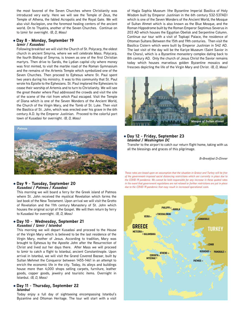the most favored of the Seven Churches where Christianity was introduced very early. Here we will see the Temple of Zeus, the Temple of Athena, the fabled Acropolis and the Royal Gate. We will also visit Asclepion, one the foremost healing centers of the ancient world. On to Thyatira, another of the Seven Churches. Continue on to Izmir for overnight. *(B, D, Mass)*

#### l **Day 8 - Monday, September 19** *Izmir / Kusadasi*

Following breakfast we will visit the Church of St. Polycarp, the oldest church in ancient Smyrna, where we will celebrate Mass. Polycarp, the fourth Bishop of Smyrna, is known as one of the first Christian martyrs. Then drive to Sardis, the Lydian capital city where money was first minted, to visit the marble road of the Roman Gymnasium and the remains of the Artemis Temple which symbolized one of the Seven Churches. Then proceed to Ephesus where St. Paul spent two years during his ministry. It was to this community that St. Paul wrote his Epistle to the Ephesians. St. Paul implored the Ephesians to cease their worship of Artemis and to turn to Christianity. We will see the great theater where Paul addressed the crowds and visit the site of the scene of the riot from which Paul escaped. Visit the Temple of Diana which is one of the Seven Wonders of the Ancient World, the Church of the Virgin Mary, and the Tomb of St. Luke. Then visit the Basilica of St. John, which was erected over his grave in the 6th century A.D. by the Emperor Justinian. Proceed to the colorful port town of Kusadasi for overnight. *(B, D, Mass)*



#### l **Day 9 - Tuesday, September 20** *Kusadasi / Patmos / Kusadasi*

This morning we will board a ferry for the Greek island of Patmos where St. John received the mystical Revelation which forms the last book of the New Testament. Upon arrival we will visit the Grotto of Revelation and the 11th century Monastery of St. John which houses the original script of the Gospel. We will then return by ferry to Kusadasi for overnight. *(B, D, Mass)*

#### l **Day 10 - Wednesday, September 21** *Kusadasi / Izmir / Istanbul*

This morning we will depart Kusadasi and proceed to the House of the Virgin Mary which is believed to be the last residence of the Virgin Mary, mother of Jesus. According to tradition, Mary was brought to Ephesus by the Apostle John after the Resurrection of Christ and lived out her days there. After Mass we will proceed to Izmir to catch a flight to Istanbul, ancient Constantinople. Upon arrival in Istanbul, we will visit the Grand Covered Bazaar, built by Sultan Mehmet the Conqueror between 1455-1461 in an attempt to enrich the economic life in the city. Today, its alleys and buildings house more than 4,000 shops selling carpets, furniture, leather goods, copper goods, jewelry and touristic items. Overnight in Istanbul. *(B, D, Mass)*

#### l **Day 11 - Thursday, September 22** *Istanbul*

Today enjoy a full day of sightseeing encompassing Istanbul's Byzantine and Ottoman Heritage. The tour will start with a visit

of Hagia Sophia Museum (the Byzantine Imperial Basilica of Holy Wisdom built by Emperor Justinian in the 6th century 532-537AD) which is one of the Seven Wonders of the Ancient World, the Mosque of Sultan Ahmet which is also known as the Blue Mosque, and the Roman Hippodrome built by the Roman Emperor Septimus Severus in 203 AD which houses the Egyptian Obelisk and Serpentine Column. Continue our tour with a visit of Topkapi Palace, the residence of Ottoman Sultans Between the 15th and 19th centuries. Then visit the Basilica Cistern which were built by Emperor Justinian in 542 AD. The last visit of the day will be the Kariye Museum (Saint Savior in the Chora), which is a Byzantine monastery complex dating back to 8th century AD. Only the church of Jesus Christ the Savior remains today which houses marvelous golden Byzantine mosaics and frescoes depicting the life of the Virgin Mary and Christ. *(B, D, Mass)*



#### l **Day 12 - Friday, September 23** *Istanbul / Washington DC*

Transfer to the airport to catch our return flight home, taking with us all the blessings and graces of this pilgrimage.

*B=Breakfast D=Dinner*

*These rates are based upon an assumption that the situation in Greece and Turkey will be free of the government-imposed social distancing restrictions which are currently in place due to the COVID-19 pandemic. We cannot be held responsible for any increase in these quoted rates in the event that government regulations are not relaxed or further restrictions are put in place due to the COVID-19 pandemic that may result in increased operational costs.*